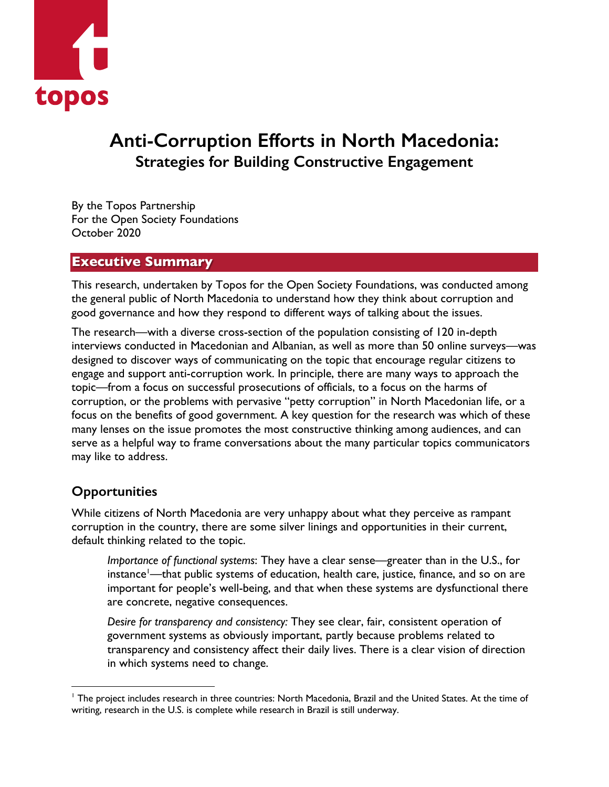

# **Anti-Corruption Efforts in North Macedonia: Strategies for Building Constructive Engagement**

By the Topos Partnership For the Open Society Foundations October 2020

### **Executive Summary**

This research, undertaken by Topos for the Open Society Foundations, was conducted among the general public of North Macedonia to understand how they think about corruption and good governance and how they respond to different ways of talking about the issues.

The research—with a diverse cross-section of the population consisting of 120 in-depth interviews conducted in Macedonian and Albanian, as well as more than 50 online surveys—was designed to discover ways of communicating on the topic that encourage regular citizens to engage and support anti-corruption work. In principle, there are many ways to approach the topic—from a focus on successful prosecutions of officials, to a focus on the harms of corruption, or the problems with pervasive "petty corruption" in North Macedonian life, or a focus on the benefits of good government. A key question for the research was which of these many lenses on the issue promotes the most constructive thinking among audiences, and can serve as a helpful way to frame conversations about the many particular topics communicators may like to address.

# **Opportunities**

While citizens of North Macedonia are very unhappy about what they perceive as rampant corruption in the country, there are some silver linings and opportunities in their current, default thinking related to the topic.

*Importance of functional systems*: They have a clear sense—greater than in the U.S., for instance<sup>l</sup>—that public systems of education, health care, justice, finance, and so on are important for people's well-being, and that when these systems are dysfunctional there are concrete, negative consequences.

*Desire for transparency and consistency:* They see clear, fair, consistent operation of government systems as obviously important, partly because problems related to transparency and consistency affect their daily lives. There is a clear vision of direction in which systems need to change.

<sup>&</sup>lt;sup>1</sup> The project includes research in three countries: North Macedonia, Brazil and the United States. At the time of writing, research in the U.S. is complete while research in Brazil is still underway.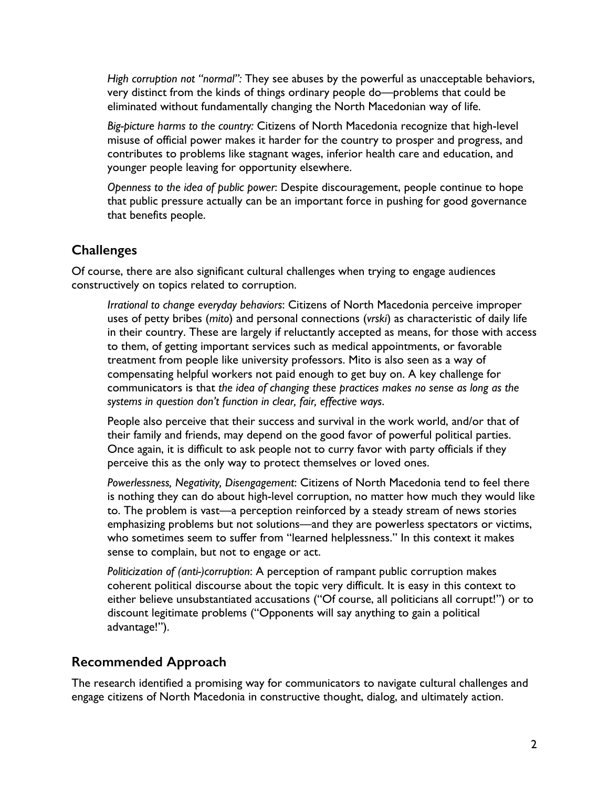*High corruption not "normal":* They see abuses by the powerful as unacceptable behaviors, very distinct from the kinds of things ordinary people do—problems that could be eliminated without fundamentally changing the North Macedonian way of life.

*Big-picture harms to the country:* Citizens of North Macedonia recognize that high-level misuse of official power makes it harder for the country to prosper and progress, and contributes to problems like stagnant wages, inferior health care and education, and younger people leaving for opportunity elsewhere.

*Openness to the idea of public power*: Despite discouragement, people continue to hope that public pressure actually can be an important force in pushing for good governance that benefits people.

# **Challenges**

Of course, there are also significant cultural challenges when trying to engage audiences constructively on topics related to corruption.

*Irrational to change everyday behaviors*: Citizens of North Macedonia perceive improper uses of petty bribes (*mito*) and personal connections (*vrski*) as characteristic of daily life in their country. These are largely if reluctantly accepted as means, for those with access to them, of getting important services such as medical appointments, or favorable treatment from people like university professors. Mito is also seen as a way of compensating helpful workers not paid enough to get buy on. A key challenge for communicators is that *the idea of changing these practices makes no sense as long as the systems in question don't function in clear, fair, effective ways*.

People also perceive that their success and survival in the work world, and/or that of their family and friends, may depend on the good favor of powerful political parties. Once again, it is difficult to ask people not to curry favor with party officials if they perceive this as the only way to protect themselves or loved ones.

*Powerlessness, Negativity, Disengagement*: Citizens of North Macedonia tend to feel there is nothing they can do about high-level corruption, no matter how much they would like to. The problem is vast—a perception reinforced by a steady stream of news stories emphasizing problems but not solutions—and they are powerless spectators or victims, who sometimes seem to suffer from "learned helplessness." In this context it makes sense to complain, but not to engage or act.

*Politicization of (anti-)corruption*: A perception of rampant public corruption makes coherent political discourse about the topic very difficult. It is easy in this context to either believe unsubstantiated accusations ("Of course, all politicians all corrupt!") or to discount legitimate problems ("Opponents will say anything to gain a political advantage!").

# **Recommended Approach**

The research identified a promising way for communicators to navigate cultural challenges and engage citizens of North Macedonia in constructive thought, dialog, and ultimately action.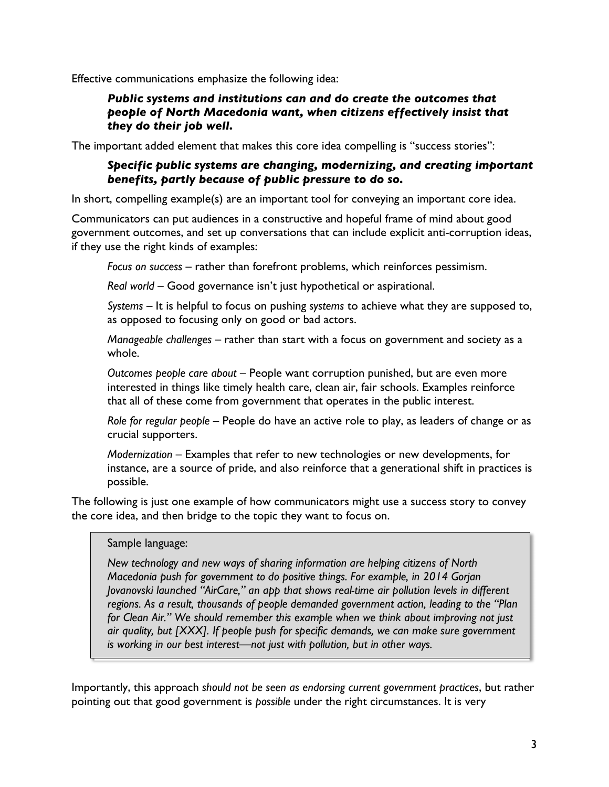Effective communications emphasize the following idea:

### *Public systems and institutions can and do create the outcomes that people of North Macedonia want, when citizens effectively insist that they do their job well.*

The important added element that makes this core idea compelling is "success stories":

### *Specific public systems are changing, modernizing, and creating important benefits, partly because of public pressure to do so.*

In short, compelling example(s) are an important tool for conveying an important core idea.

Communicators can put audiences in a constructive and hopeful frame of mind about good government outcomes, and set up conversations that can include explicit anti-corruption ideas, if they use the right kinds of examples:

*Focus on success* – rather than forefront problems, which reinforces pessimism.

*Real world* – Good governance isn't just hypothetical or aspirational.

*Systems* – It is helpful to focus on pushing *systems* to achieve what they are supposed to, as opposed to focusing only on good or bad actors.

*Manageable challenges* – rather than start with a focus on government and society as a whole.

*Outcomes people care about* – People want corruption punished, but are even more interested in things like timely health care, clean air, fair schools. Examples reinforce that all of these come from government that operates in the public interest.

*Role for regular people* – People do have an active role to play, as leaders of change or as crucial supporters.

*Modernization* – Examples that refer to new technologies or new developments, for instance, are a source of pride, and also reinforce that a generational shift in practices is possible.

The following is just one example of how communicators might use a success story to convey the core idea, and then bridge to the topic they want to focus on.

#### Sample language:

*New technology and new ways of sharing information are helping citizens of North Macedonia push for government to do positive things. For example, in 2014 Gorjan Jovanovski launched "AirCare," an app that shows real-time air pollution levels in different regions. As a result, thousands of people demanded government action, leading to the "Plan for Clean Air." We should remember this example when we think about improving not just air quality, but [XXX]. If people push for specific demands, we can make sure government is working in our best interest—not just with pollution, but in other ways.*

Importantly, this approach *should not be seen as endorsing current government practices*, but rather pointing out that good government is *possible* under the right circumstances. It is very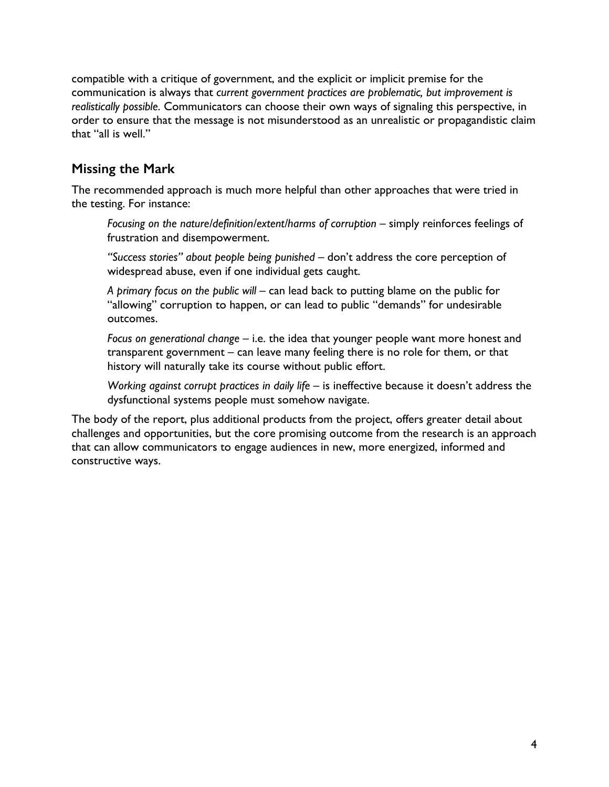compatible with a critique of government, and the explicit or implicit premise for the communication is always that *current government practices are problematic, but improvement is realistically possible*. Communicators can choose their own ways of signaling this perspective, in order to ensure that the message is not misunderstood as an unrealistic or propagandistic claim that "all is well."

# **Missing the Mark**

The recommended approach is much more helpful than other approaches that were tried in the testing. For instance:

*Focusing on the nature/definition/extent/harms of corruption* – simply reinforces feelings of frustration and disempowerment.

*"Success stories" about people being punished* – don't address the core perception of widespread abuse, even if one individual gets caught.

*A primary focus on the public will* – can lead back to putting blame on the public for "allowing" corruption to happen, or can lead to public "demands" for undesirable outcomes.

*Focus on generational change* – i.e. the idea that younger people want more honest and transparent government – can leave many feeling there is no role for them, or that history will naturally take its course without public effort.

*Working against corrupt practices in daily life* – is ineffective because it doesn't address the dysfunctional systems people must somehow navigate.

The body of the report, plus additional products from the project, offers greater detail about challenges and opportunities, but the core promising outcome from the research is an approach that can allow communicators to engage audiences in new, more energized, informed and constructive ways.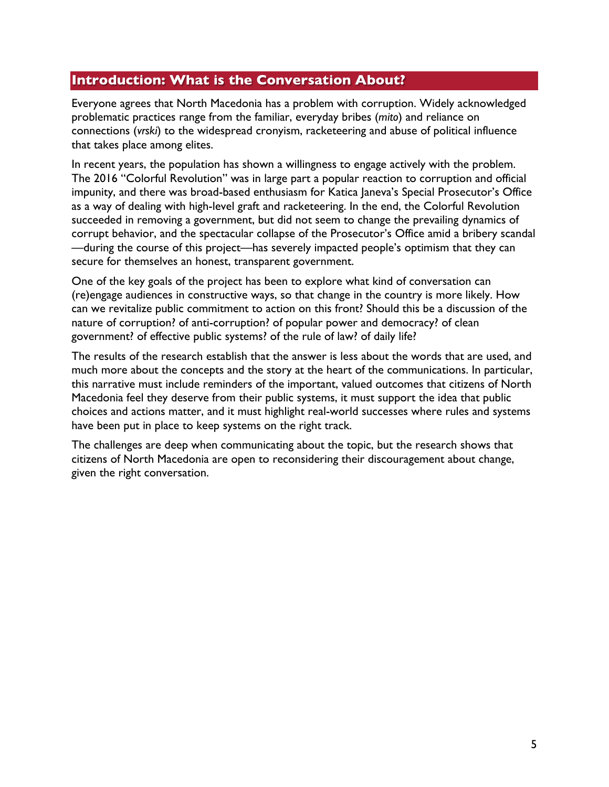### **Introduction: What is the Conversation About?**

Everyone agrees that North Macedonia has a problem with corruption. Widely acknowledged problematic practices range from the familiar, everyday bribes (*mito*) and reliance on connections (*vrski*) to the widespread cronyism, racketeering and abuse of political influence that takes place among elites.

In recent years, the population has shown a willingness to engage actively with the problem. The 2016 "Colorful Revolution" was in large part a popular reaction to corruption and official impunity, and there was broad-based enthusiasm for Katica Janeva's Special Prosecutor's Office as a way of dealing with high-level graft and racketeering. In the end, the Colorful Revolution succeeded in removing a government, but did not seem to change the prevailing dynamics of corrupt behavior, and the spectacular collapse of the Prosecutor's Office amid a bribery scandal —during the course of this project—has severely impacted people's optimism that they can secure for themselves an honest, transparent government.

One of the key goals of the project has been to explore what kind of conversation can (re)engage audiences in constructive ways, so that change in the country is more likely. How can we revitalize public commitment to action on this front? Should this be a discussion of the nature of corruption? of anti-corruption? of popular power and democracy? of clean government? of effective public systems? of the rule of law? of daily life?

The results of the research establish that the answer is less about the words that are used, and much more about the concepts and the story at the heart of the communications. In particular, this narrative must include reminders of the important, valued outcomes that citizens of North Macedonia feel they deserve from their public systems, it must support the idea that public choices and actions matter, and it must highlight real-world successes where rules and systems have been put in place to keep systems on the right track.

The challenges are deep when communicating about the topic, but the research shows that citizens of North Macedonia are open to reconsidering their discouragement about change, given the right conversation.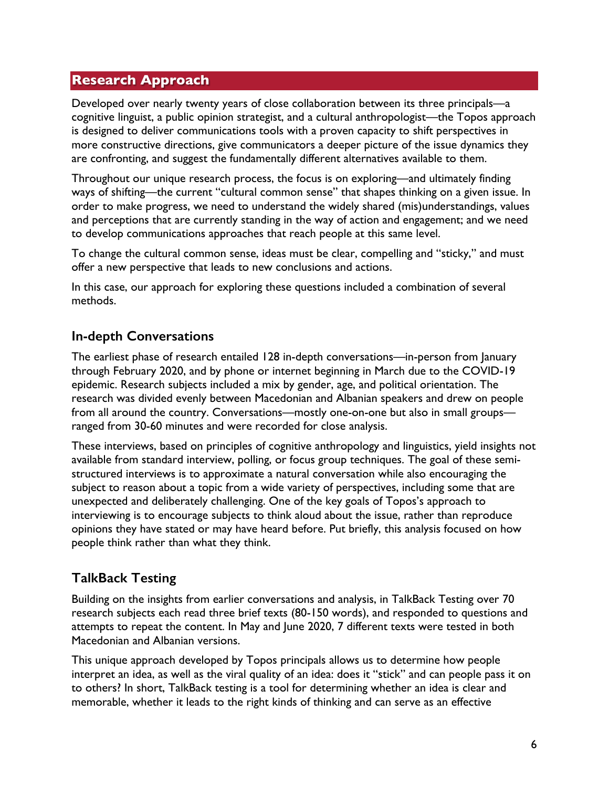### **Research Approach**

Developed over nearly twenty years of close collaboration between its three principals—a cognitive linguist, a public opinion strategist, and a cultural anthropologist—the Topos approach is designed to deliver communications tools with a proven capacity to shift perspectives in more constructive directions, give communicators a deeper picture of the issue dynamics they are confronting, and suggest the fundamentally different alternatives available to them.

Throughout our unique research process, the focus is on exploring—and ultimately finding ways of shifting—the current "cultural common sense" that shapes thinking on a given issue. In order to make progress, we need to understand the widely shared (mis)understandings, values and perceptions that are currently standing in the way of action and engagement; and we need to develop communications approaches that reach people at this same level.

To change the cultural common sense, ideas must be clear, compelling and "sticky," and must offer a new perspective that leads to new conclusions and actions.

In this case, our approach for exploring these questions included a combination of several methods.

# **In-depth Conversations**

The earliest phase of research entailed 128 in-depth conversations—in-person from January through February 2020, and by phone or internet beginning in March due to the COVID-19 epidemic. Research subjects included a mix by gender, age, and political orientation. The research was divided evenly between Macedonian and Albanian speakers and drew on people from all around the country. Conversations—mostly one-on-one but also in small groups ranged from 30-60 minutes and were recorded for close analysis.

These interviews, based on principles of cognitive anthropology and linguistics, yield insights not available from standard interview, polling, or focus group techniques. The goal of these semistructured interviews is to approximate a natural conversation while also encouraging the subject to reason about a topic from a wide variety of perspectives, including some that are unexpected and deliberately challenging. One of the key goals of Topos's approach to interviewing is to encourage subjects to think aloud about the issue, rather than reproduce opinions they have stated or may have heard before. Put briefly, this analysis focused on how people think rather than what they think.

# **TalkBack Testing**

Building on the insights from earlier conversations and analysis, in TalkBack Testing over 70 research subjects each read three brief texts (80-150 words), and responded to questions and attempts to repeat the content. In May and June 2020, 7 different texts were tested in both Macedonian and Albanian versions.

This unique approach developed by Topos principals allows us to determine how people interpret an idea, as well as the viral quality of an idea: does it "stick" and can people pass it on to others? In short, TalkBack testing is a tool for determining whether an idea is clear and memorable, whether it leads to the right kinds of thinking and can serve as an effective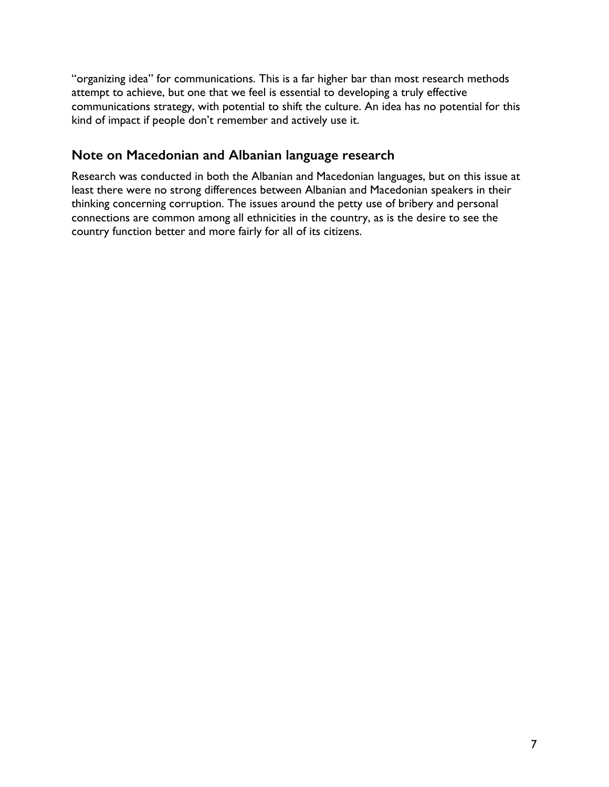"organizing idea" for communications. This is a far higher bar than most research methods attempt to achieve, but one that we feel is essential to developing a truly effective communications strategy, with potential to shift the culture. An idea has no potential for this kind of impact if people don't remember and actively use it.

# **Note on Macedonian and Albanian language research**

Research was conducted in both the Albanian and Macedonian languages, but on this issue at least there were no strong differences between Albanian and Macedonian speakers in their thinking concerning corruption. The issues around the petty use of bribery and personal connections are common among all ethnicities in the country, as is the desire to see the country function better and more fairly for all of its citizens.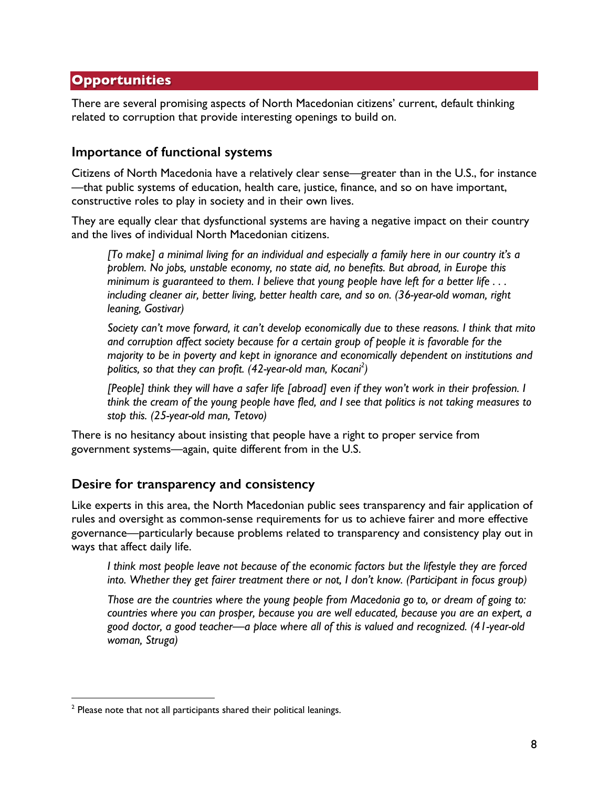# **Opportunities**

There are several promising aspects of North Macedonian citizens' current, default thinking related to corruption that provide interesting openings to build on.

### **Importance of functional systems**

Citizens of North Macedonia have a relatively clear sense—greater than in the U.S., for instance —that public systems of education, health care, justice, finance, and so on have important, constructive roles to play in society and in their own lives.

They are equally clear that dysfunctional systems are having a negative impact on their country and the lives of individual North Macedonian citizens.

*[To make] a minimal living for an individual and especially a family here in our country it's a problem. No jobs, unstable economy, no state aid, no benefits. But abroad, in Europe this minimum is guaranteed to them. I believe that young people have left for a better life . . . including cleaner air, better living, better health care, and so on. (36-year-old woman, right leaning, Gostivar)*

*Society can't move forward, it can't develop economically due to these reasons. I think that mito and corruption affect society because for a certain group of people it is favorable for the majority to be in poverty and kept in ignorance and economically dependent on institutions and politics, so that they can profit. (42-year-old man, Kocani2 )*

*[People] think they will have a safer life [abroad] even if they won't work in their profession. I think the cream of the young people have fled, and I see that politics is not taking measures to stop this. (25-year-old man, Tetovo)*

There is no hesitancy about insisting that people have a right to proper service from government systems—again, quite different from in the U.S.

### **Desire for transparency and consistency**

Like experts in this area, the North Macedonian public sees transparency and fair application of rules and oversight as common-sense requirements for us to achieve fairer and more effective governance—particularly because problems related to transparency and consistency play out in ways that affect daily life.

*I think most people leave not because of the economic factors but the lifestyle they are forced into. Whether they get fairer treatment there or not, I don't know. (Participant in focus group)*

*Those are the countries where the young people from Macedonia go to, or dream of going to: countries where you can prosper, because you are well educated, because you are an expert, a good doctor, a good teacher—a place where all of this is valued and recognized. (41-year-old woman, Struga)*

<sup>&</sup>lt;sup>2</sup> Please note that not all participants shared their political leanings.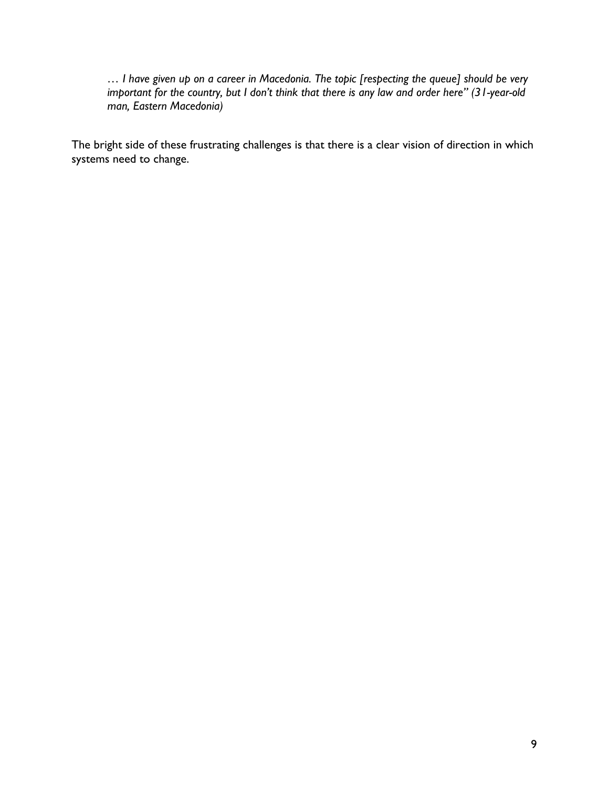*… I have given up on a career in Macedonia. The topic [respecting the queue] should be very important for the country, but I don't think that there is any law and order here" (31-year-old man, Eastern Macedonia)*

The bright side of these frustrating challenges is that there is a clear vision of direction in which systems need to change.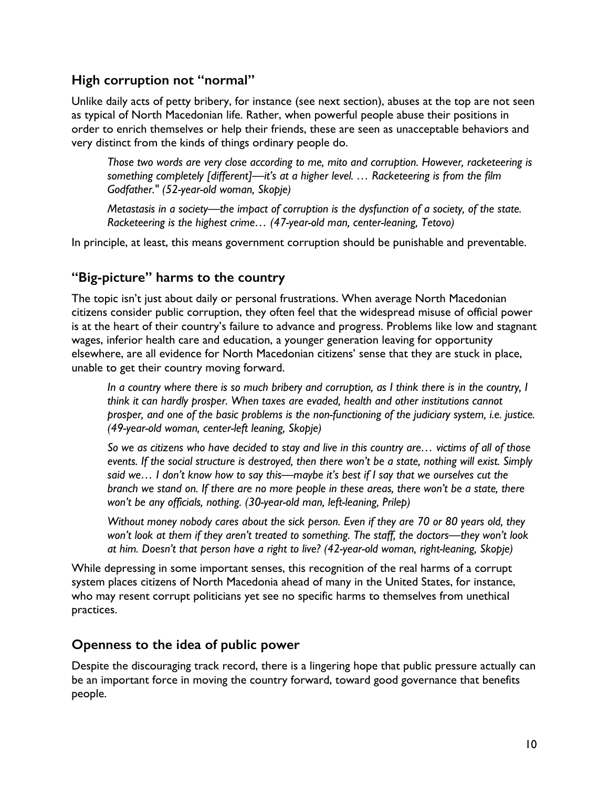# **High corruption not "normal"**

Unlike daily acts of petty bribery, for instance (see next section), abuses at the top are not seen as typical of North Macedonian life. Rather, when powerful people abuse their positions in order to enrich themselves or help their friends, these are seen as unacceptable behaviors and very distinct from the kinds of things ordinary people do.

*Those two words are very close according to me, mito and corruption. However, racketeering is something completely [different]—it's at a higher level. … Racketeering is from the film Godfather." (52-year-old woman, Skopje)* 

*Metastasis in a society—the impact of corruption is the dysfunction of a society, of the state. Racketeering is the highest crime… (47-year-old man, center-leaning, Tetovo)* 

In principle, at least, this means government corruption should be punishable and preventable.

# **"Big-picture" harms to the country**

The topic isn't just about daily or personal frustrations. When average North Macedonian citizens consider public corruption, they often feel that the widespread misuse of official power is at the heart of their country's failure to advance and progress. Problems like low and stagnant wages, inferior health care and education, a younger generation leaving for opportunity elsewhere, are all evidence for North Macedonian citizens' sense that they are stuck in place, unable to get their country moving forward.

*In a country where there is so much bribery and corruption, as I think there is in the country, I think it can hardly prosper. When taxes are evaded, health and other institutions cannot prosper, and one of the basic problems is the non-functioning of the judiciary system, i.e. justice. (49-year-old woman, center-left leaning, Skopje)*

*So we as citizens who have decided to stay and live in this country are… victims of all of those events. If the social structure is destroyed, then there won't be a state, nothing will exist. Simply said we… I don't know how to say this—maybe it's best if I say that we ourselves cut the branch we stand on. If there are no more people in these areas, there won't be a state, there won't be any officials, nothing. (30-year-old man, left-leaning, Prilep)*

*Without money nobody cares about the sick person. Even if they are 70 or 80 years old, they won't look at them if they aren't treated to something. The staff, the doctors—they won't look at him. Doesn't that person have a right to live? (42-year-old woman, right-leaning, Skopje)*

While depressing in some important senses, this recognition of the real harms of a corrupt system places citizens of North Macedonia ahead of many in the United States, for instance, who may resent corrupt politicians yet see no specific harms to themselves from unethical practices.

# **Openness to the idea of public power**

Despite the discouraging track record, there is a lingering hope that public pressure actually can be an important force in moving the country forward, toward good governance that benefits people.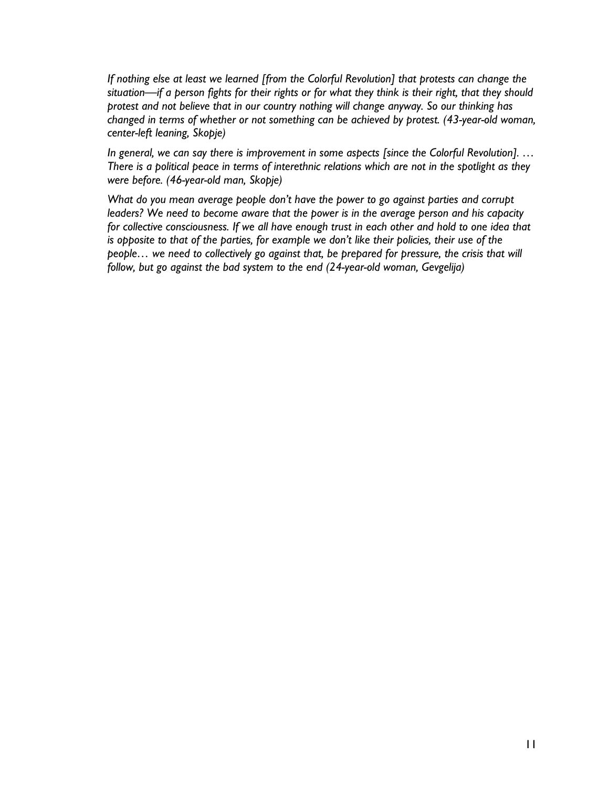*If nothing else at least we learned [from the Colorful Revolution] that protests can change the situation—if a person fights for their rights or for what they think is their right, that they should protest and not believe that in our country nothing will change anyway. So our thinking has changed in terms of whether or not something can be achieved by protest. (43-year-old woman, center-left leaning, Skopje)*

*In general, we can say there is improvement in some aspects [since the Colorful Revolution]. … There is a political peace in terms of interethnic relations which are not in the spotlight as they were before. (46-year-old man, Skopje)*

*What do you mean average people don't have the power to go against parties and corrupt leaders? We need to become aware that the power is in the average person and his capacity for collective consciousness. If we all have enough trust in each other and hold to one idea that is opposite to that of the parties, for example we don't like their policies, their use of the people… we need to collectively go against that, be prepared for pressure, the crisis that will follow, but go against the bad system to the end (24-year-old woman, Gevgelija)*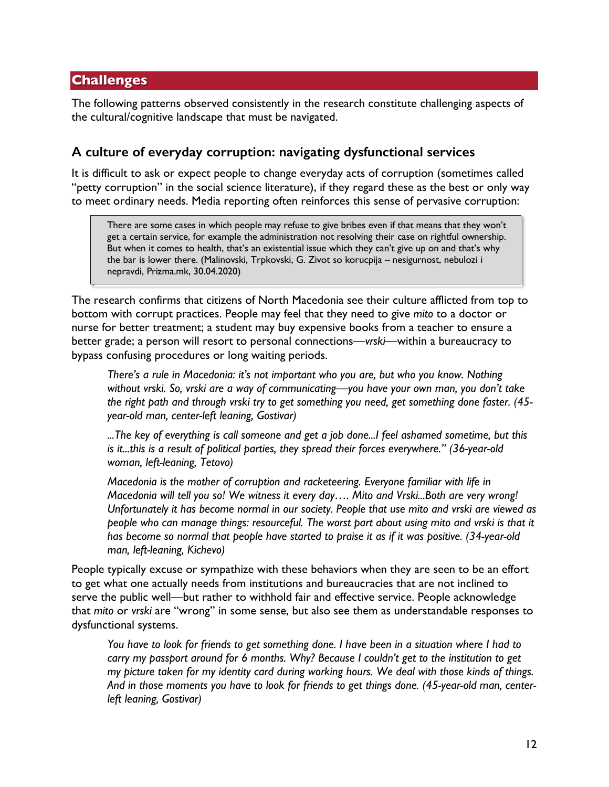### **Challenges**

The following patterns observed consistently in the research constitute challenging aspects of the cultural/cognitive landscape that must be navigated.

### **A culture of everyday corruption: navigating dysfunctional services**

It is difficult to ask or expect people to change everyday acts of corruption (sometimes called "petty corruption" in the social science literature), if they regard these as the best or only way to meet ordinary needs. Media reporting often reinforces this sense of pervasive corruption:

There are some cases in which people may refuse to give bribes even if that means that they won't get a certain service, for example the administration not resolving their case on rightful ownership. But when it comes to health, that's an existential issue which they can't give up on and that's why the bar is lower there. (Malinovski, Trpkovski, G. Zivot so korucpija – nesigurnost, nebulozi i nepravdi, Prizma.mk, 30.04.2020)

The research confirms that citizens of North Macedonia see their culture afflicted from top to bottom with corrupt practices. People may feel that they need to give *mito* to a doctor or nurse for better treatment; a student may buy expensive books from a teacher to ensure a better grade; a person will resort to personal connections—*vrski—*within a bureaucracy to bypass confusing procedures or long waiting periods.

*There's a rule in Macedonia: it's not important who you are, but who you know. Nothing without vrski. So, vrski are a way of communicating—you have your own man, you don't take the right path and through vrski try to get something you need, get something done faster. (45 year-old man, center-left leaning, Gostivar)*

*...The key of everything is call someone and get a job done...I feel ashamed sometime, but this is it...this is a result of political parties, they spread their forces everywhere." (36-year-old woman, left-leaning, Tetovo)*

*Macedonia is the mother of corruption and racketeering. Everyone familiar with life in Macedonia will tell you so! We witness it every day…. Mito and Vrski...Both are very wrong! Unfortunately it has become normal in our society. People that use mito and vrski are viewed as people who can manage things: resourceful. The worst part about using mito and vrski is that it has become so normal that people have started to praise it as if it was positive. (34-year-old man, left-leaning, Kichevo)*

People typically excuse or sympathize with these behaviors when they are seen to be an effort to get what one actually needs from institutions and bureaucracies that are not inclined to serve the public well—but rather to withhold fair and effective service. People acknowledge that *mito* or *vrski* are "wrong" in some sense, but also see them as understandable responses to dysfunctional systems.

*You have to look for friends to get something done. I have been in a situation where I had to carry my passport around for 6 months. Why? Because I couldn't get to the institution to get my picture taken for my identity card during working hours. We deal with those kinds of things. And in those moments you have to look for friends to get things done. (45-year-old man, centerleft leaning, Gostivar)*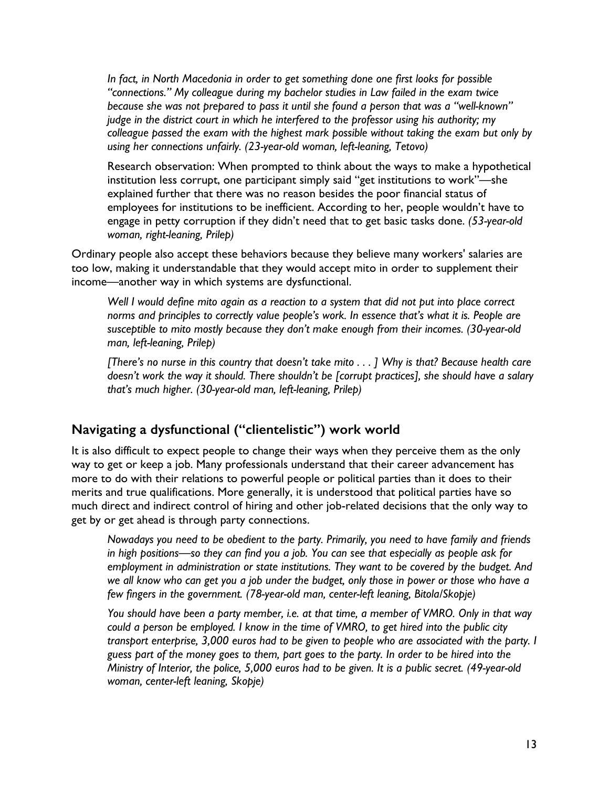*In fact, in North Macedonia in order to get something done one first looks for possible "connections." My colleague during my bachelor studies in Law failed in the exam twice because she was not prepared to pass it until she found a person that was a "well-known" judge in the district court in which he interfered to the professor using his authority; my colleague passed the exam with the highest mark possible without taking the exam but only by using her connections unfairly. (23-year-old woman, left-leaning, Tetovo)*

Research observation: When prompted to think about the ways to make a hypothetical institution less corrupt, one participant simply said "get institutions to work"—she explained further that there was no reason besides the poor financial status of employees for institutions to be inefficient. According to her, people wouldn't have to engage in petty corruption if they didn't need that to get basic tasks done. *(53-year-old woman, right-leaning, Prilep)*

Ordinary people also accept these behaviors because they believe many workers' salaries are too low, making it understandable that they would accept mito in order to supplement their income—another way in which systems are dysfunctional.

*Well I would define mito again as a reaction to a system that did not put into place correct norms and principles to correctly value people's work. In essence that's what it is. People are susceptible to mito mostly because they don't make enough from their incomes. (30-year-old man, left-leaning, Prilep)*

*[There's no nurse in this country that doesn't take mito . . . ] Why is that? Because health care doesn't work the way it should. There shouldn't be [corrupt practices], she should have a salary that's much higher. (30-year-old man, left-leaning, Prilep)*

# **Navigating a dysfunctional ("clientelistic") work world**

It is also difficult to expect people to change their ways when they perceive them as the only way to get or keep a job. Many professionals understand that their career advancement has more to do with their relations to powerful people or political parties than it does to their merits and true qualifications. More generally, it is understood that political parties have so much direct and indirect control of hiring and other job-related decisions that the only way to get by or get ahead is through party connections.

*Nowadays you need to be obedient to the party. Primarily, you need to have family and friends in high positions—so they can find you a job. You can see that especially as people ask for employment in administration or state institutions. They want to be covered by the budget. And we all know who can get you a job under the budget, only those in power or those who have a few fingers in the government. (78-year-old man, center-left leaning, Bitola/Skopje)* 

*You should have been a party member, i.e. at that time, a member of VMRO. Only in that way could a person be employed. I know in the time of VMRO, to get hired into the public city transport enterprise, 3,000 euros had to be given to people who are associated with the party. I guess part of the money goes to them, part goes to the party. In order to be hired into the Ministry of Interior, the police, 5,000 euros had to be given. It is a public secret. (49-year-old woman, center-left leaning, Skopje)*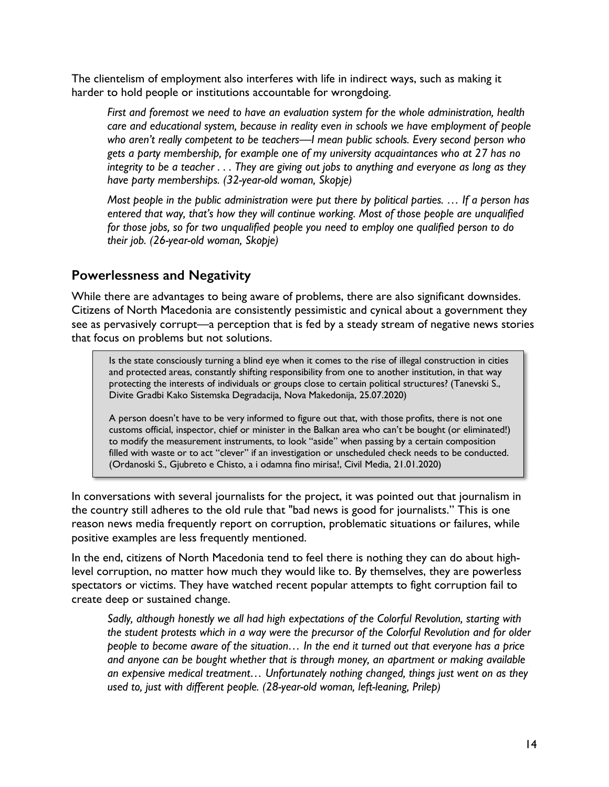The clientelism of employment also interferes with life in indirect ways, such as making it harder to hold people or institutions accountable for wrongdoing.

*First and foremost we need to have an evaluation system for the whole administration, health care and educational system, because in reality even in schools we have employment of people who aren't really competent to be teachers—I mean public schools. Every second person who gets a party membership, for example one of my university acquaintances who at 27 has no integrity to be a teacher . . . They are giving out jobs to anything and everyone as long as they have party memberships. (32-year-old woman, Skopje)*

*Most people in the public administration were put there by political parties. … If a person has entered that way, that's how they will continue working. Most of those people are unqualified for those jobs, so for two unqualified people you need to employ one qualified person to do their job. (26-year-old woman, Skopje)*

### **Powerlessness and Negativity**

While there are advantages to being aware of problems, there are also significant downsides. Citizens of North Macedonia are consistently pessimistic and cynical about a government they see as pervasively corrupt—a perception that is fed by a steady stream of negative news stories that focus on problems but not solutions.

Is the state consciously turning a blind eye when it comes to the rise of illegal construction in cities and protected areas, constantly shifting responsibility from one to another institution, in that way protecting the interests of individuals or groups close to certain political structures? (Tanevski S., Divite Gradbi Kako Sistemska Degradacija, Nova Makedonija, 25.07.2020)

A person doesn't have to be very informed to figure out that, with those profits, there is not one customs official, inspector, chief or minister in the Balkan area who can't be bought (or eliminated!) to modify the measurement instruments, to look "aside" when passing by a certain composition filled with waste or to act "clever" if an investigation or unscheduled check needs to be conducted. (Ordanoski S., Gjubreto e Chisto, a i odamna fino mirisa!, Civil Media, 21.01.2020)

In conversations with several journalists for the project, it was pointed out that journalism in the country still adheres to the old rule that "bad news is good for journalists." This is one reason news media frequently report on corruption, problematic situations or failures, while positive examples are less frequently mentioned.

In the end, citizens of North Macedonia tend to feel there is nothing they can do about highlevel corruption, no matter how much they would like to. By themselves, they are powerless spectators or victims. They have watched recent popular attempts to fight corruption fail to create deep or sustained change.

*Sadly, although honestly we all had high expectations of the Colorful Revolution, starting with the student protests which in a way were the precursor of the Colorful Revolution and for older people to become aware of the situation… In the end it turned out that everyone has a price and anyone can be bought whether that is through money, an apartment or making available an expensive medical treatment… Unfortunately nothing changed, things just went on as they used to, just with different people. (28-year-old woman, left-leaning, Prilep)*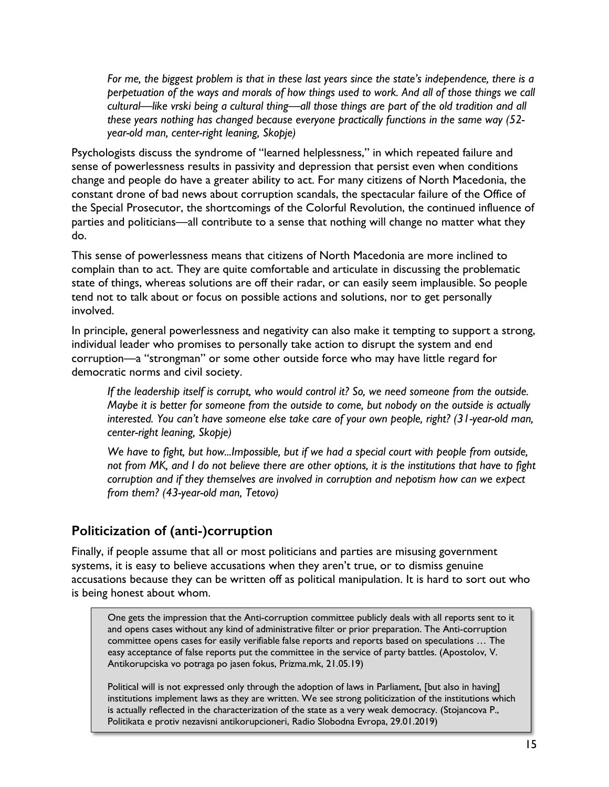*For me, the biggest problem is that in these last years since the state's independence, there is a perpetuation of the ways and morals of how things used to work. And all of those things we call cultural—like vrski being a cultural thing—all those things are part of the old tradition and all these years nothing has changed because everyone practically functions in the same way (52 year-old man, center-right leaning, Skopje)*

Psychologists discuss the syndrome of "learned helplessness," in which repeated failure and sense of powerlessness results in passivity and depression that persist even when conditions change and people do have a greater ability to act. For many citizens of North Macedonia, the constant drone of bad news about corruption scandals, the spectacular failure of the Office of the Special Prosecutor, the shortcomings of the Colorful Revolution, the continued influence of parties and politicians—all contribute to a sense that nothing will change no matter what they do.

This sense of powerlessness means that citizens of North Macedonia are more inclined to complain than to act. They are quite comfortable and articulate in discussing the problematic state of things, whereas solutions are off their radar, or can easily seem implausible. So people tend not to talk about or focus on possible actions and solutions, nor to get personally involved.

In principle, general powerlessness and negativity can also make it tempting to support a strong, individual leader who promises to personally take action to disrupt the system and end corruption—a "strongman" or some other outside force who may have little regard for democratic norms and civil society.

*If the leadership itself is corrupt, who would control it? So, we need someone from the outside. Maybe it is better for someone from the outside to come, but nobody on the outside is actually interested. You can't have someone else take care of your own people, right? (31-year-old man, center-right leaning, Skopje)*

*We have to fight, but how...Impossible, but if we had a special court with people from outside, not from MK, and I do not believe there are other options, it is the institutions that have to fight corruption and if they themselves are involved in corruption and nepotism how can we expect from them? (43-year-old man, Tetovo)*

# **Politicization of (anti-)corruption**

Finally, if people assume that all or most politicians and parties are misusing government systems, it is easy to believe accusations when they aren't true, or to dismiss genuine accusations because they can be written off as political manipulation. It is hard to sort out who is being honest about whom.

One gets the impression that the Anti-corruption committee publicly deals with all reports sent to it and opens cases without any kind of administrative filter or prior preparation. The Anti-corruption committee opens cases for easily verifiable false reports and reports based on speculations … The easy acceptance of false reports put the committee in the service of party battles. (Apostolov, V. Antikorupciska vo potraga po jasen fokus, Prizma.mk, 21.05.19)

Political will is not expressed only through the adoption of laws in Parliament, [but also in having] institutions implement laws as they are written. We see strong politicization of the institutions which is actually reflected in the characterization of the state as a very weak democracy. (Stojancova P., Politikata e protiv nezavisni antikorupcioneri, Radio Slobodna Evropa, 29.01.2019)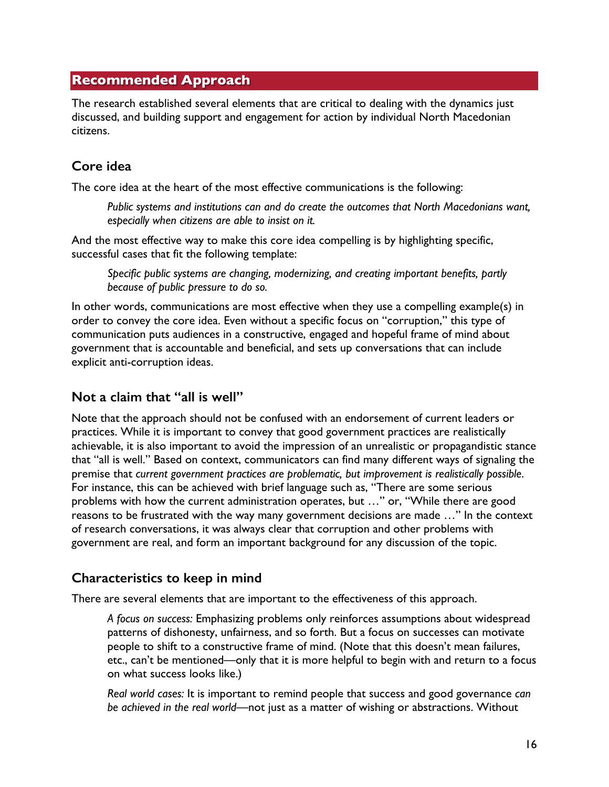### **Recommended Approach**

The research established several elements that are critical to dealing with the dynamics just discussed, and building support and engagement for action by individual North Macedonian citizens.

# **Core idea**

The core idea at the heart of the most effective communications is the following:

*Public systems and institutions can and do create the outcomes that North Macedonians want, especially when citizens are able to insist on it.*

And the most effective way to make this core idea compelling is by highlighting specific, successful cases that fit the following template:

*Specific public systems are changing, modernizing, and creating important benefits, partly because of public pressure to do so.*

In other words, communications are most effective when they use a compelling example(s) in order to convey the core idea. Even without a specific focus on "corruption," this type of communication puts audiences in a constructive, engaged and hopeful frame of mind about government that is accountable and beneficial, and sets up conversations that can include explicit anti-corruption ideas.

# **Not a claim that "all is well"**

Note that the approach should not be confused with an endorsement of current leaders or practices. While it is important to convey that good government practices are realistically achievable, it is also important to avoid the impression of an unrealistic or propagandistic stance that "all is well." Based on context, communicators can find many different ways of signaling the premise that *current government practices are problematic, but improvement is realistically possible*. For instance, this can be achieved with brief language such as, "There are some serious problems with how the current administration operates, but …" or, "While there are good reasons to be frustrated with the way many government decisions are made …" In the context of research conversations, it was always clear that corruption and other problems with government are real, and form an important background for any discussion of the topic.

# **Characteristics to keep in mind**

There are several elements that are important to the effectiveness of this approach.

*A focus on success:* Emphasizing problems only reinforces assumptions about widespread patterns of dishonesty, unfairness, and so forth. But a focus on successes can motivate people to shift to a constructive frame of mind. (Note that this doesn't mean failures, etc., can't be mentioned—only that it is more helpful to begin with and return to a focus on what success looks like.)

*Real world cases:* It is important to remind people that success and good governance *can be achieved in the real world*—not just as a matter of wishing or abstractions. Without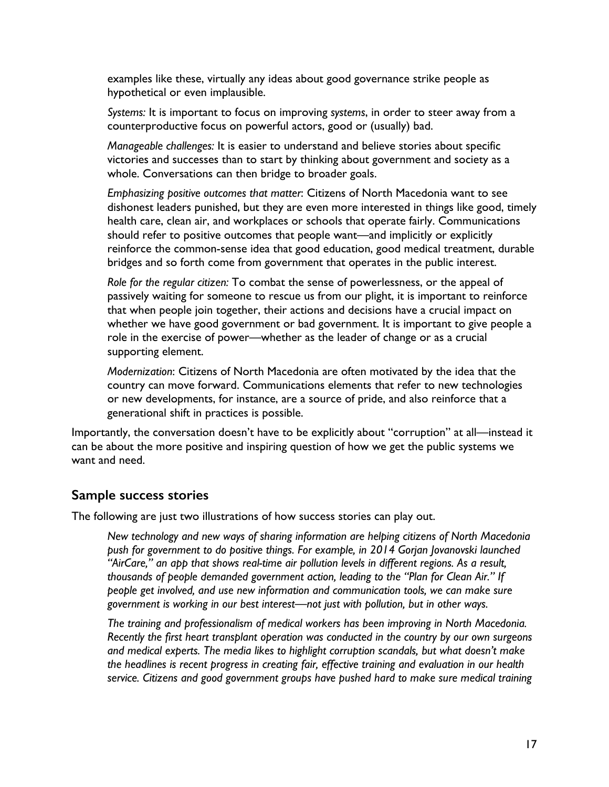examples like these, virtually any ideas about good governance strike people as hypothetical or even implausible.

*Systems:* It is important to focus on improving *systems*, in order to steer away from a counterproductive focus on powerful actors, good or (usually) bad.

*Manageable challenges:* It is easier to understand and believe stories about specific victories and successes than to start by thinking about government and society as a whole. Conversations can then bridge to broader goals.

*Emphasizing positive outcomes that matter*: Citizens of North Macedonia want to see dishonest leaders punished, but they are even more interested in things like good, timely health care, clean air, and workplaces or schools that operate fairly. Communications should refer to positive outcomes that people want—and implicitly or explicitly reinforce the common-sense idea that good education, good medical treatment, durable bridges and so forth come from government that operates in the public interest.

*Role for the regular citizen:* To combat the sense of powerlessness, or the appeal of passively waiting for someone to rescue us from our plight, it is important to reinforce that when people join together, their actions and decisions have a crucial impact on whether we have good government or bad government. It is important to give people a role in the exercise of power—whether as the leader of change or as a crucial supporting element.

*Modernization*: Citizens of North Macedonia are often motivated by the idea that the country can move forward. Communications elements that refer to new technologies or new developments, for instance, are a source of pride, and also reinforce that a generational shift in practices is possible.

Importantly, the conversation doesn't have to be explicitly about "corruption" at all—instead it can be about the more positive and inspiring question of how we get the public systems we want and need.

#### **Sample success stories**

The following are just two illustrations of how success stories can play out.

*New technology and new ways of sharing information are helping citizens of North Macedonia push for government to do positive things. For example, in 2014 Gorjan Jovanovski launched "AirCare," an app that shows real-time air pollution levels in different regions. As a result, thousands of people demanded government action, leading to the "Plan for Clean Air." If people get involved, and use new information and communication tools, we can make sure government is working in our best interest—not just with pollution, but in other ways.*

*The training and professionalism of medical workers has been improving in North Macedonia. Recently the first heart transplant operation was conducted in the country by our own surgeons and medical experts. The media likes to highlight corruption scandals, but what doesn't make the headlines is recent progress in creating fair, effective training and evaluation in our health service. Citizens and good government groups have pushed hard to make sure medical training*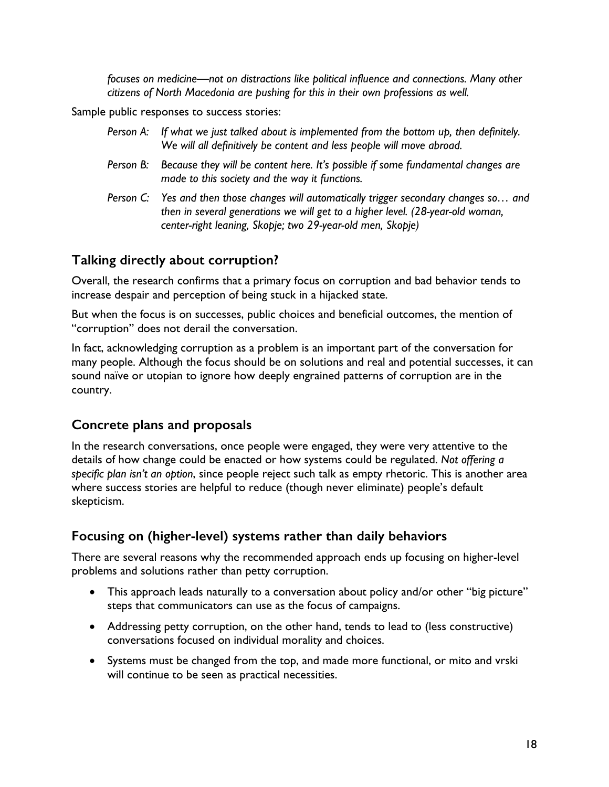*focuses on medicine—not on distractions like political influence and connections. Many other citizens of North Macedonia are pushing for this in their own professions as well.*

Sample public responses to success stories:

- *Person A: If what we just talked about is implemented from the bottom up, then definitely. We will all definitively be content and less people will move abroad.*
- *Person B: Because they will be content here. It's possible if some fundamental changes are made to this society and the way it functions.*
- *Person C: Yes and then those changes will automatically trigger secondary changes so… and then in several generations we will get to a higher level. (28-year-old woman, center-right leaning, Skopje; two 29-year-old men, Skopje)*

# **Talking directly about corruption?**

Overall, the research confirms that a primary focus on corruption and bad behavior tends to increase despair and perception of being stuck in a hijacked state.

But when the focus is on successes, public choices and beneficial outcomes, the mention of "corruption" does not derail the conversation.

In fact, acknowledging corruption as a problem is an important part of the conversation for many people. Although the focus should be on solutions and real and potential successes, it can sound naïve or utopian to ignore how deeply engrained patterns of corruption are in the country.

# **Concrete plans and proposals**

In the research conversations, once people were engaged, they were very attentive to the details of how change could be enacted or how systems could be regulated. *Not offering a specific plan isn't an option*, since people reject such talk as empty rhetoric. This is another area where success stories are helpful to reduce (though never eliminate) people's default skepticism.

# **Focusing on (higher-level) systems rather than daily behaviors**

There are several reasons why the recommended approach ends up focusing on higher-level problems and solutions rather than petty corruption.

- This approach leads naturally to a conversation about policy and/or other "big picture" steps that communicators can use as the focus of campaigns.
- Addressing petty corruption, on the other hand, tends to lead to (less constructive) conversations focused on individual morality and choices.
- Systems must be changed from the top, and made more functional, or mito and vrski will continue to be seen as practical necessities.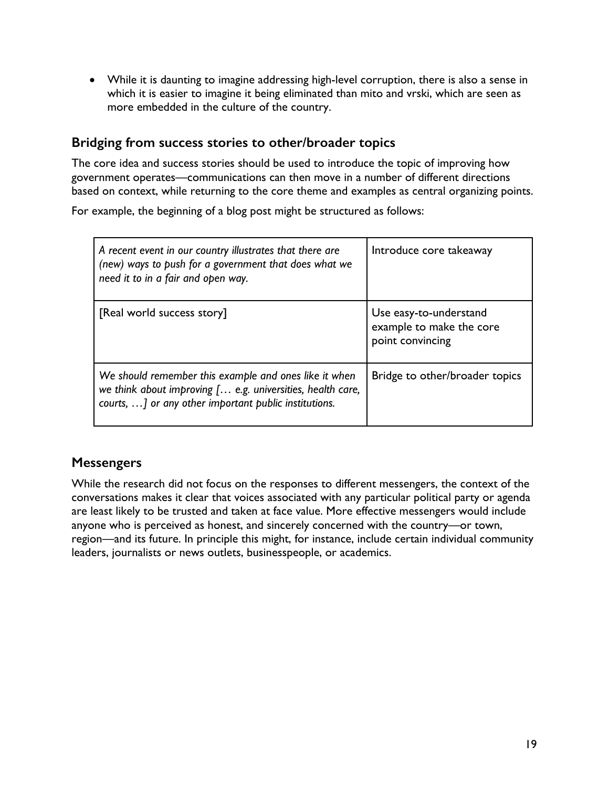• While it is daunting to imagine addressing high-level corruption, there is also a sense in which it is easier to imagine it being eliminated than mito and vrski, which are seen as more embedded in the culture of the country.

### **Bridging from success stories to other/broader topics**

The core idea and success stories should be used to introduce the topic of improving how government operates—communications can then move in a number of different directions based on context, while returning to the core theme and examples as central organizing points.

For example, the beginning of a blog post might be structured as follows:

| A recent event in our country illustrates that there are<br>(new) ways to push for a government that does what we<br>need it to in a fair and open way.                      | Introduce core takeaway                                                |
|------------------------------------------------------------------------------------------------------------------------------------------------------------------------------|------------------------------------------------------------------------|
| [Real world success story]                                                                                                                                                   | Use easy-to-understand<br>example to make the core<br>point convincing |
| We should remember this example and ones like it when<br>we think about improving [ e.g. universities, health care,<br>courts, ] or any other important public institutions. | Bridge to other/broader topics                                         |

# **Messengers**

While the research did not focus on the responses to different messengers, the context of the conversations makes it clear that voices associated with any particular political party or agenda are least likely to be trusted and taken at face value. More effective messengers would include anyone who is perceived as honest, and sincerely concerned with the country—or town, region—and its future. In principle this might, for instance, include certain individual community leaders, journalists or news outlets, businesspeople, or academics.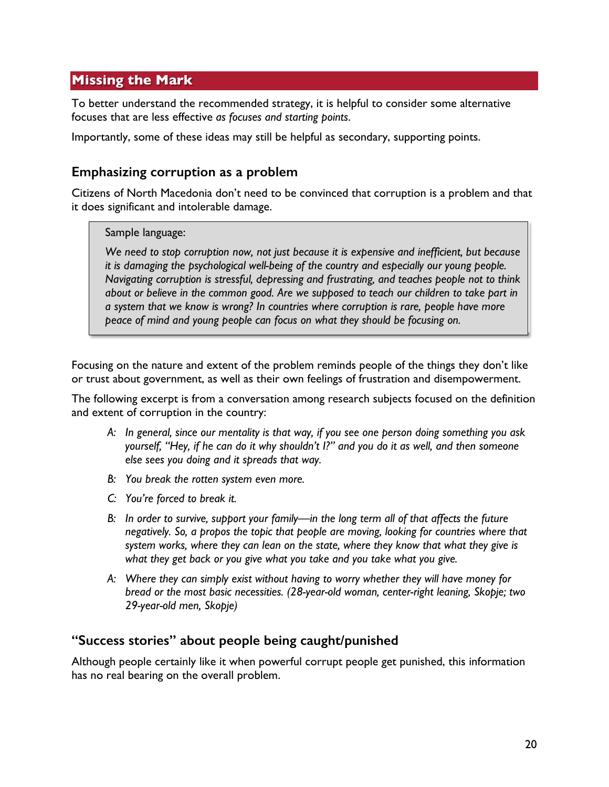# **Missing the Mark**

To better understand the recommended strategy, it is helpful to consider some alternative focuses that are less effective *as focuses and starting points*.

Importantly, some of these ideas may still be helpful as secondary, supporting points.

### **Emphasizing corruption as a problem**

Citizens of North Macedonia don't need to be convinced that corruption is a problem and that it does significant and intolerable damage.

### Sample language:

*We need to stop corruption now, not just because it is expensive and inefficient, but because it is damaging the psychological well-being of the country and especially our young people. Navigating corruption is stressful, depressing and frustrating, and teaches people not to think about or believe in the common good. Are we supposed to teach our children to take part in a system that we know is wrong? In countries where corruption is rare, people have more peace of mind and young people can focus on what they should be focusing on.*

Focusing on the nature and extent of the problem reminds people of the things they don't like or trust about government, as well as their own feelings of frustration and disempowerment.

The following excerpt is from a conversation among research subjects focused on the definition and extent of corruption in the country:

- *A: In general, since our mentality is that way, if you see one person doing something you ask yourself, "Hey, if he can do it why shouldn't I?" and you do it as well, and then someone else sees you doing and it spreads that way.*
- *B: You break the rotten system even more.*
- *C: You're forced to break it.*
- *B: In order to survive, support your family—in the long term all of that affects the future negatively. So, a propos the topic that people are moving, looking for countries where that system works, where they can lean on the state, where they know that what they give is what they get back or you give what you take and you take what you give.*
- *A: Where they can simply exist without having to worry whether they will have money for bread or the most basic necessities. (28-year-old woman, center-right leaning, Skopje; two 29-year-old men, Skopje)*

### **"Success stories" about people being caught/punished**

Although people certainly like it when powerful corrupt people get punished, this information has no real bearing on the overall problem.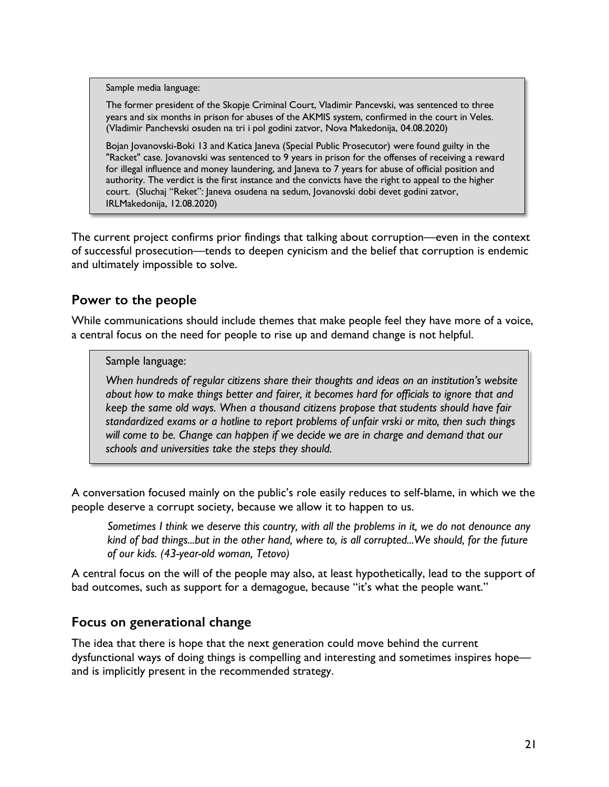Sample media language:

The former president of the Skopje Criminal Court, Vladimir Pancevski, was sentenced to three years and six months in prison for abuses of the AKMIS system, confirmed in the court in Veles. (Vladimir Panchevski osuden na tri i pol godini zatvor, Nova Makedonija, 04.08.2020)

Bojan Jovanovski-Boki 13 and Katica Janeva (Special Public Prosecutor) were found guilty in the "Racket" case. Jovanovski was sentenced to 9 years in prison for the offenses of receiving a reward for illegal influence and money laundering, and Janeva to 7 years for abuse of official position and authority. The verdict is the first instance and the convicts have the right to appeal to the higher court. (Sluchaj "Reket": Janeva osudena na sedum, Jovanovski dobi devet godini zatvor, IRLMakedonija, 12.08.2020)

The current project confirms prior findings that talking about corruption—even in the context of successful prosecution—tends to deepen cynicism and the belief that corruption is endemic and ultimately impossible to solve.

# **Power to the people**

While communications should include themes that make people feel they have more of a voice, a central focus on the need for people to rise up and demand change is not helpful.

### Sample language:

*When hundreds of regular citizens share their thoughts and ideas on an institution's website about how to make things better and fairer, it becomes hard for officials to ignore that and keep the same old ways. When a thousand citizens propose that students should have fair standardized exams or a hotline to report problems of unfair vrski or mito, then such things will come to be. Change can happen if we decide we are in charge and demand that our schools and universities take the steps they should.*

A conversation focused mainly on the public's role easily reduces to self-blame, in which we the people deserve a corrupt society, because we allow it to happen to us.

*Sometimes I think we deserve this country, with all the problems in it, we do not denounce any kind of bad things...but in the other hand, where to, is all corrupted...We should, for the future of our kids. (43-year-old woman, Tetovo)*

A central focus on the will of the people may also, at least hypothetically, lead to the support of bad outcomes, such as support for a demagogue, because "it's what the people want."

# **Focus on generational change**

The idea that there is hope that the next generation could move behind the current dysfunctional ways of doing things is compelling and interesting and sometimes inspires hope and is implicitly present in the recommended strategy.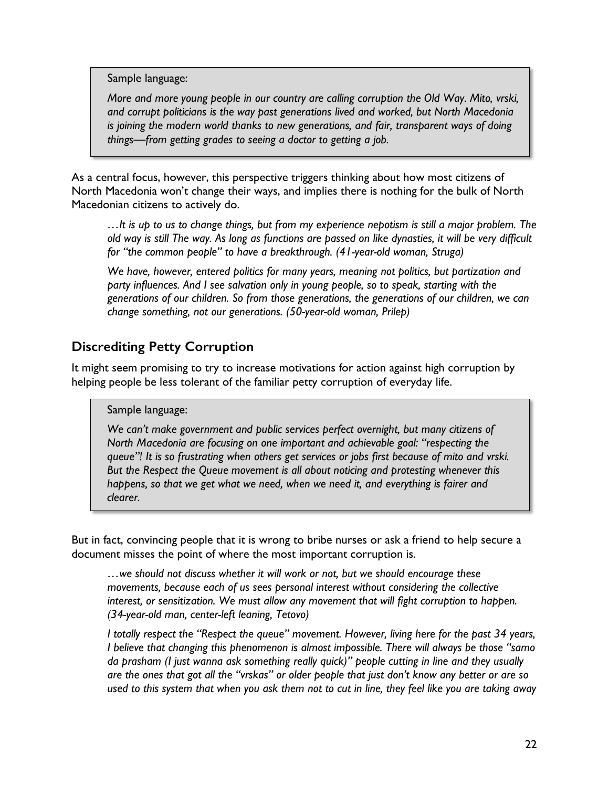Sample language:

*More and more young people in our country are calling corruption the Old Way. Mito, vrski, and corrupt politicians is the way past generations lived and worked, but North Macedonia is joining the modern world thanks to new generations, and fair, transparent ways of doing things—from getting grades to seeing a doctor to getting a job.*

As a central focus, however, this perspective triggers thinking about how most citizens of North Macedonia won't change their ways, and implies there is nothing for the bulk of North Macedonian citizens to actively do.

*…It is up to us to change things, but from my experience nepotism is still a major problem. The old way is still The way. As long as functions are passed on like dynasties, it will be very difficult for "the common people" to have a breakthrough. (41-year-old woman, Struga)*

*We have, however, entered politics for many years, meaning not politics, but pаrtization and party influences. And I see salvation only in young people, so to speak, starting with the generations of our children. So from those generations, the generations of our children, we can change something, not our generations. (50-year-old woman, Prilep)*

# **Discrediting Petty Corruption**

It might seem promising to try to increase motivations for action against high corruption by helping people be less tolerant of the familiar petty corruption of everyday life.

### Sample language:

*We can't make government and public services perfect overnight, but many citizens of North Macedonia are focusing on one important and achievable goal: "respecting the queue"! It is so frustrating when others get services or jobs first because of mito and vrski. But the Respect the Queue movement is all about noticing and protesting whenever this happens, so that we get what we need, when we need it, and everything is fairer and clearer.*

But in fact, convincing people that it is wrong to bribe nurses or ask a friend to help secure a document misses the point of where the most important corruption is.

*…we should not discuss whether it will work or not, but we should encourage these movements, because each of us sees personal interest without considering the collective interest, or sensitization. We must allow any movement that will fight corruption to happen. (34-year-old man, center-left leaning, Tetovo)*

*I totally respect the "Respect the queue" movement. However, living here for the past 34 years, I believe that changing this phenomenon is almost impossible. There will always be those "samo da prasham (I just wanna ask something really quick)" people cutting in line and they usually are the ones that got all the "vrskas" or older people that just don't know any better or are so used to this system that when you ask them not to cut in line, they feel like you are taking away*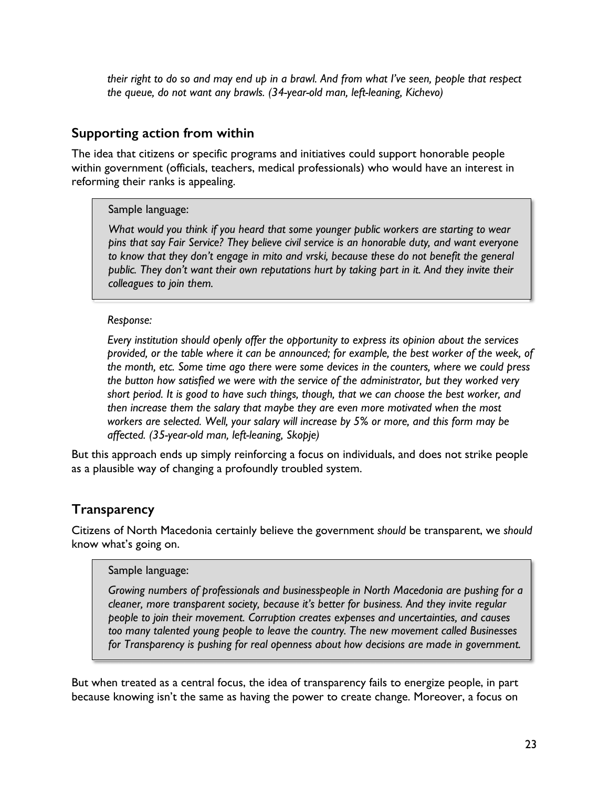*their right to do so and may end up in a brawl. And from what I've seen, people that respect the queue, do not want any brawls. (34-year-old man, left-leaning, Kichevo)*

### **Supporting action from within**

The idea that citizens or specific programs and initiatives could support honorable people within government (officials, teachers, medical professionals) who would have an interest in reforming their ranks is appealing.

### Sample language:

*What would you think if you heard that some younger public workers are starting to wear pins that say Fair Service? They believe civil service is an honorable duty, and want everyone to know that they don't engage in mito and vrski, because these do not benefit the general public. They don't want their own reputations hurt by taking part in it. And they invite their colleagues to join them.*

### *Response:*

*Every institution should openly offer the opportunity to express its opinion about the services provided, or the table where it can be announced; for example, the best worker of the week, of the month, etc. Some time ago there were some devices in the counters, where we could press the button how satisfied we were with the service of the administrator, but they worked very short period. It is good to have such things, though, that we can choose the best worker, and then increase them the salary that maybe they are even more motivated when the most workers are selected. Well, your salary will increase by 5% or more, and this form may be affected. (35-year-old man, left-leaning, Skopje)*

But this approach ends up simply reinforcing a focus on individuals, and does not strike people as a plausible way of changing a profoundly troubled system.

# **Transparency**

Citizens of North Macedonia certainly believe the government *should* be transparent, we *should*  know what's going on.

### Sample language:

*Growing numbers of professionals and businesspeople in North Macedonia are pushing for a cleaner, more transparent society, because it's better for business. And they invite regular people to join their movement. Corruption creates expenses and uncertainties, and causes too many talented young people to leave the country. The new movement called Businesses for Transparency is pushing for real openness about how decisions are made in government.*

But when treated as a central focus, the idea of transparency fails to energize people, in part because knowing isn't the same as having the power to create change. Moreover, a focus on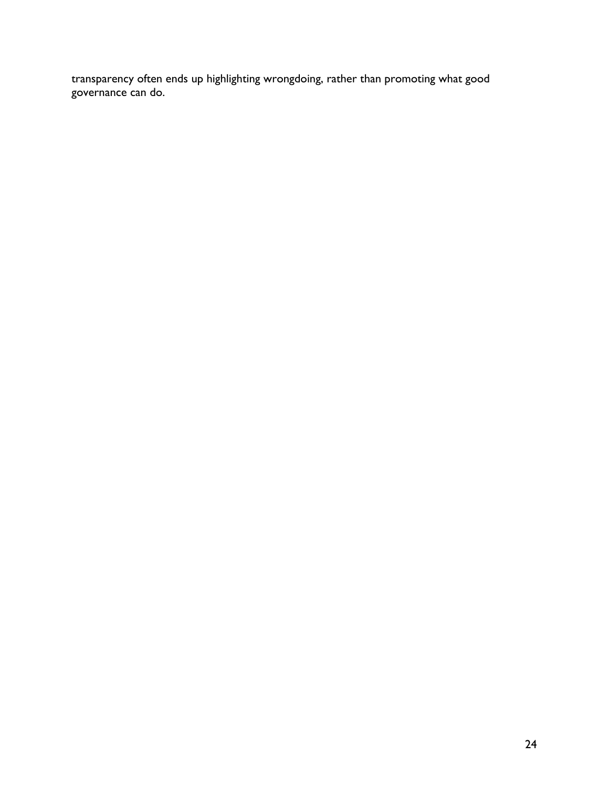transparency often ends up highlighting wrongdoing, rather than promoting what good governance can do.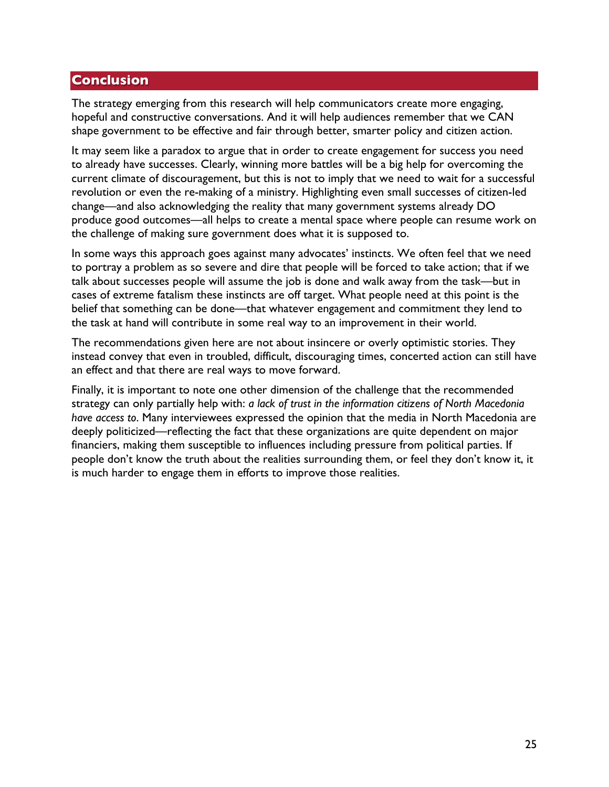### **Conclusion**

The strategy emerging from this research will help communicators create more engaging, hopeful and constructive conversations. And it will help audiences remember that we CAN shape government to be effective and fair through better, smarter policy and citizen action.

It may seem like a paradox to argue that in order to create engagement for success you need to already have successes. Clearly, winning more battles will be a big help for overcoming the current climate of discouragement, but this is not to imply that we need to wait for a successful revolution or even the re-making of a ministry. Highlighting even small successes of citizen-led change—and also acknowledging the reality that many government systems already DO produce good outcomes—all helps to create a mental space where people can resume work on the challenge of making sure government does what it is supposed to.

In some ways this approach goes against many advocates' instincts. We often feel that we need to portray a problem as so severe and dire that people will be forced to take action; that if we talk about successes people will assume the job is done and walk away from the task—but in cases of extreme fatalism these instincts are off target. What people need at this point is the belief that something can be done—that whatever engagement and commitment they lend to the task at hand will contribute in some real way to an improvement in their world.

The recommendations given here are not about insincere or overly optimistic stories. They instead convey that even in troubled, difficult, discouraging times, concerted action can still have an effect and that there are real ways to move forward.

Finally, it is important to note one other dimension of the challenge that the recommended strategy can only partially help with: *a lack of trust in the information citizens of North Macedonia have access to*. Many interviewees expressed the opinion that the media in North Macedonia are deeply politicized—reflecting the fact that these organizations are quite dependent on major financiers, making them susceptible to influences including pressure from political parties. If people don't know the truth about the realities surrounding them, or feel they don't know it, it is much harder to engage them in efforts to improve those realities.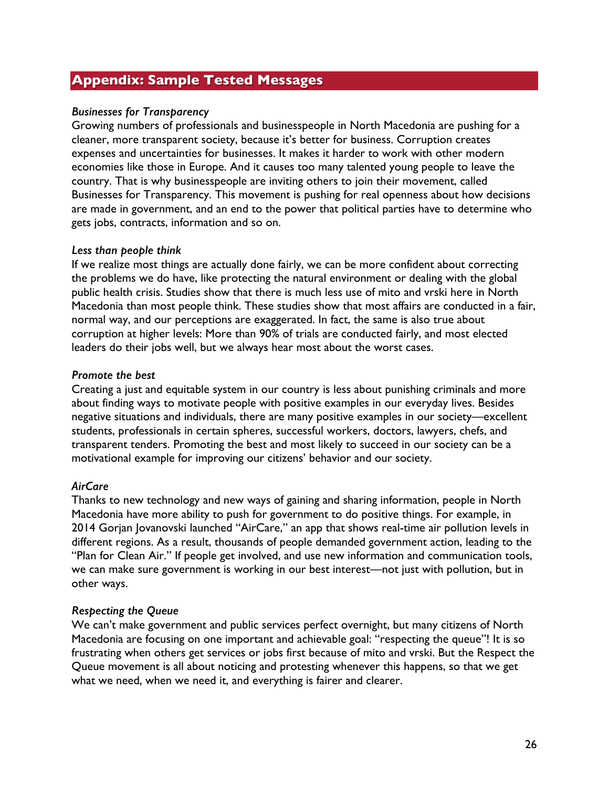### **Appendix: Sample Tested Messages**

#### *Businesses for Transparency*

Growing numbers of professionals and businesspeople in North Macedonia are pushing for a cleaner, more transparent society, because it's better for business. Corruption creates expenses and uncertainties for businesses. It makes it harder to work with other modern economies like those in Europe. And it causes too many talented young people to leave the country. That is why businesspeople are inviting others to join their movement, called Businesses for Transparency. This movement is pushing for real openness about how decisions are made in government, and an end to the power that political parties have to determine who gets jobs, contracts, information and so on.

#### *Less than people think*

If we realize most things are actually done fairly, we can be more confident about correcting the problems we do have, like protecting the natural environment or dealing with the global public health crisis. Studies show that there is much less use of mito and vrski here in North Macedonia than most people think. These studies show that most affairs are conducted in a fair, normal way, and our perceptions are exaggerated. In fact, the same is also true about corruption at higher levels: More than 90% of trials are conducted fairly, and most elected leaders do their jobs well, but we always hear most about the worst cases.

#### *Promote the best*

Creating a just and equitable system in our country is less about punishing criminals and more about finding ways to motivate people with positive examples in our everyday lives. Besides negative situations and individuals, there are many positive examples in our society—excellent students, professionals in certain spheres, successful workers, doctors, lawyers, chefs, and transparent tenders. Promoting the best and most likely to succeed in our society can be a motivational example for improving our citizens' behavior and our society.

#### *AirCare*

Thanks to new technology and new ways of gaining and sharing information, people in North Macedonia have more ability to push for government to do positive things. For example, in 2014 Gorjan Jovanovski launched "AirCare," an app that shows real-time air pollution levels in different regions. As a result, thousands of people demanded government action, leading to the "Plan for Clean Air." If people get involved, and use new information and communication tools, we can make sure government is working in our best interest—not just with pollution, but in other ways.

#### *Respecting the Queue*

We can't make government and public services perfect overnight, but many citizens of North Macedonia are focusing on one important and achievable goal: "respecting the queue"! It is so frustrating when others get services or jobs first because of mito and vrski. But the Respect the Queue movement is all about noticing and protesting whenever this happens, so that we get what we need, when we need it, and everything is fairer and clearer.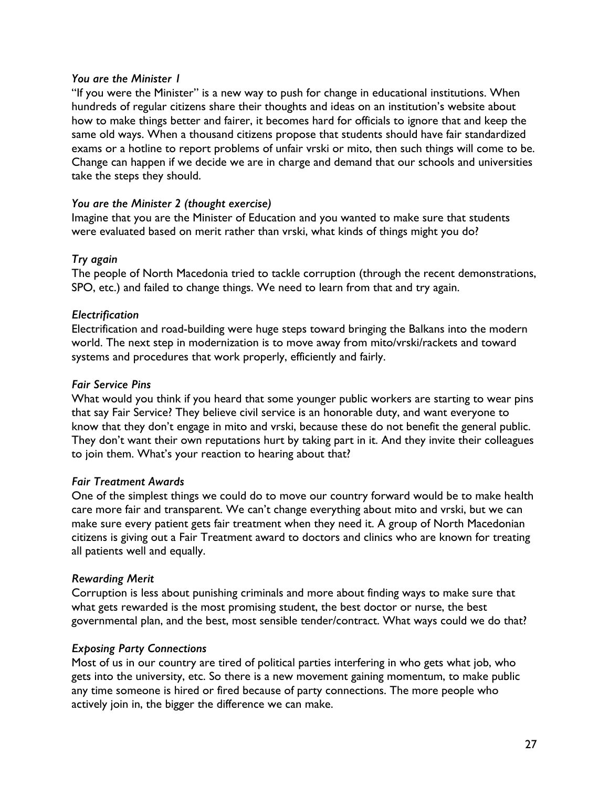#### *You are the Minister 1*

"If you were the Minister" is a new way to push for change in educational institutions. When hundreds of regular citizens share their thoughts and ideas on an institution's website about how to make things better and fairer, it becomes hard for officials to ignore that and keep the same old ways. When a thousand citizens propose that students should have fair standardized exams or a hotline to report problems of unfair vrski or mito, then such things will come to be. Change can happen if we decide we are in charge and demand that our schools and universities take the steps they should.

#### *You are the Minister 2 (thought exercise)*

Imagine that you are the Minister of Education and you wanted to make sure that students were evaluated based on merit rather than vrski, what kinds of things might you do?

### *Try again*

The people of North Macedonia tried to tackle corruption (through the recent demonstrations, SPO, etc.) and failed to change things. We need to learn from that and try again.

### *Electrification*

Electrification and road-building were huge steps toward bringing the Balkans into the modern world. The next step in modernization is to move away from mito/vrski/rackets and toward systems and procedures that work properly, efficiently and fairly.

#### *Fair Service Pins*

What would you think if you heard that some younger public workers are starting to wear pins that say Fair Service? They believe civil service is an honorable duty, and want everyone to know that they don't engage in mito and vrski, because these do not benefit the general public. They don't want their own reputations hurt by taking part in it. And they invite their colleagues to join them. What's your reaction to hearing about that?

#### *Fair Treatment Awards*

One of the simplest things we could do to move our country forward would be to make health care more fair and transparent. We can't change everything about mito and vrski, but we can make sure every patient gets fair treatment when they need it. A group of North Macedonian citizens is giving out a Fair Treatment award to doctors and clinics who are known for treating all patients well and equally.

#### *Rewarding Merit*

Corruption is less about punishing criminals and more about finding ways to make sure that what gets rewarded is the most promising student, the best doctor or nurse, the best governmental plan, and the best, most sensible tender/contract. What ways could we do that?

### *Exposing Party Connections*

Most of us in our country are tired of political parties interfering in who gets what job, who gets into the university, etc. So there is a new movement gaining momentum, to make public any time someone is hired or fired because of party connections. The more people who actively join in, the bigger the difference we can make.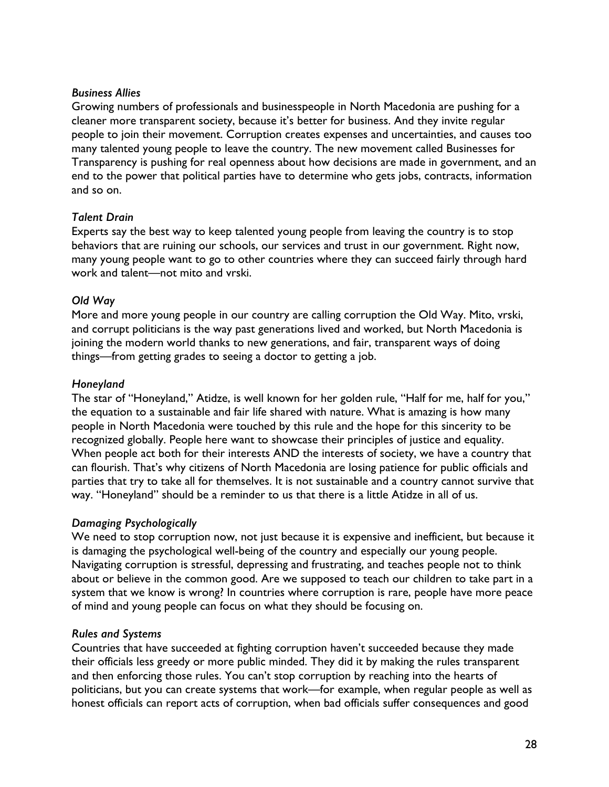#### *Business Allies*

Growing numbers of professionals and businesspeople in North Macedonia are pushing for a cleaner more transparent society, because it's better for business. And they invite regular people to join their movement. Corruption creates expenses and uncertainties, and causes too many talented young people to leave the country. The new movement called Businesses for Transparency is pushing for real openness about how decisions are made in government, and an end to the power that political parties have to determine who gets jobs, contracts, information and so on.

### *Talent Drain*

Experts say the best way to keep talented young people from leaving the country is to stop behaviors that are ruining our schools, our services and trust in our government. Right now, many young people want to go to other countries where they can succeed fairly through hard work and talent—not mito and vrski.

### *Old Way*

More and more young people in our country are calling corruption the Old Way. Mito, vrski, and corrupt politicians is the way past generations lived and worked, but North Macedonia is joining the modern world thanks to new generations, and fair, transparent ways of doing things—from getting grades to seeing a doctor to getting a job.

### *Honeyland*

The star of "Honeyland," Atidze, is well known for her golden rule, "Half for me, half for you," the equation to a sustainable and fair life shared with nature. What is amazing is how many people in North Macedonia were touched by this rule and the hope for this sincerity to be recognized globally. People here want to showcase their principles of justice and equality. When people act both for their interests AND the interests of society, we have a country that can flourish. That's why citizens of North Macedonia are losing patience for public officials and parties that try to take all for themselves. It is not sustainable and a country cannot survive that way. "Honeyland" should be a reminder to us that there is a little Atidze in all of us.

### *Damaging Psychologically*

We need to stop corruption now, not just because it is expensive and inefficient, but because it is damaging the psychological well-being of the country and especially our young people. Navigating corruption is stressful, depressing and frustrating, and teaches people not to think about or believe in the common good. Are we supposed to teach our children to take part in a system that we know is wrong? In countries where corruption is rare, people have more peace of mind and young people can focus on what they should be focusing on.

#### *Rules and Systems*

Countries that have succeeded at fighting corruption haven't succeeded because they made their officials less greedy or more public minded. They did it by making the rules transparent and then enforcing those rules. You can't stop corruption by reaching into the hearts of politicians, but you can create systems that work—for example, when regular people as well as honest officials can report acts of corruption, when bad officials suffer consequences and good